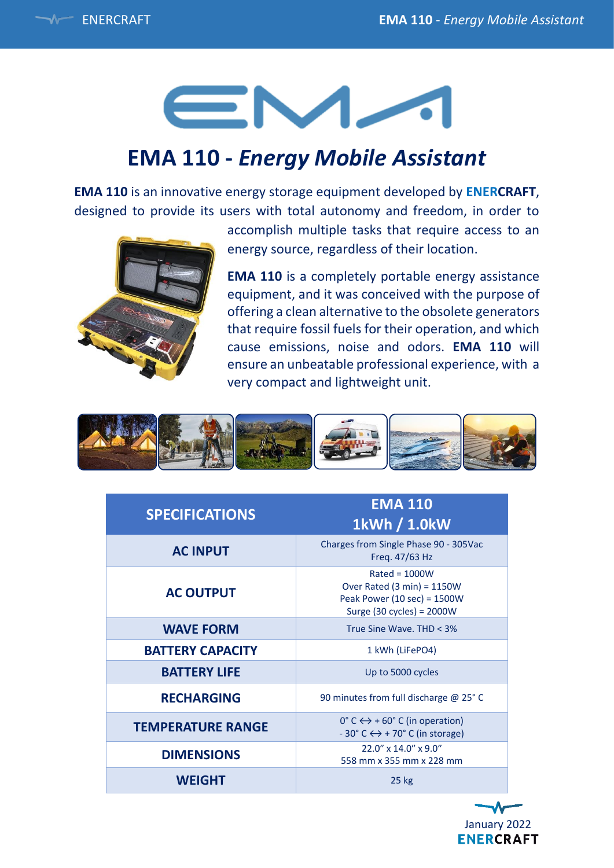# EM-

## **EMA 110 -** *Energy Mobile Assistant*

**EMA 110** is an innovative energy storage equipment developed by **ENERCRAFT**, designed to provide its users with total autonomy and freedom, in order to



accomplish multiple tasks that require access to an energy source, regardless of their location.

**EMA 110** is a completely portable energy assistance equipment, and it was conceived with the purpose of offering a clean alternative to the obsolete generators that require fossil fuels for their operation, and which cause emissions, noise and odors. **EMA 110** will ensure an unbeatable professional experience, with a very compact and lightweight unit.



| <b>SPECIFICATIONS</b>    | <b>EMA 110</b><br>1kWh / 1.0kW                                                                                   |
|--------------------------|------------------------------------------------------------------------------------------------------------------|
| <b>AC INPUT</b>          | Charges from Single Phase 90 - 305Vac<br>Freq. 47/63 Hz                                                          |
| <b>AC OUTPUT</b>         | $Rated = 1000W$<br>Over Rated $(3 min) = 1150W$<br>Peak Power (10 sec) = 1500W<br>Surge (30 cycles) = $2000W$    |
| <b>WAVE FORM</b>         | True Sine Wave, THD < 3%                                                                                         |
| <b>BATTERY CAPACITY</b>  | 1 kWh (LiFePO4)                                                                                                  |
| <b>BATTERY LIFE</b>      | Up to 5000 cycles                                                                                                |
| <b>RECHARGING</b>        | 90 minutes from full discharge @ 25° C                                                                           |
| <b>TEMPERATURE RANGE</b> | $0^{\circ}$ C $\leftrightarrow$ + 60° C (in operation)<br>$-30^{\circ}$ C $\leftrightarrow$ + 70° C (in storage) |
| <b>DIMENSIONS</b>        | $22.0''$ x $14.0''$ x $9.0''$<br>558 mm x 355 mm x 228 mm                                                        |
| <b>WEIGHT</b>            | $25$ kg                                                                                                          |